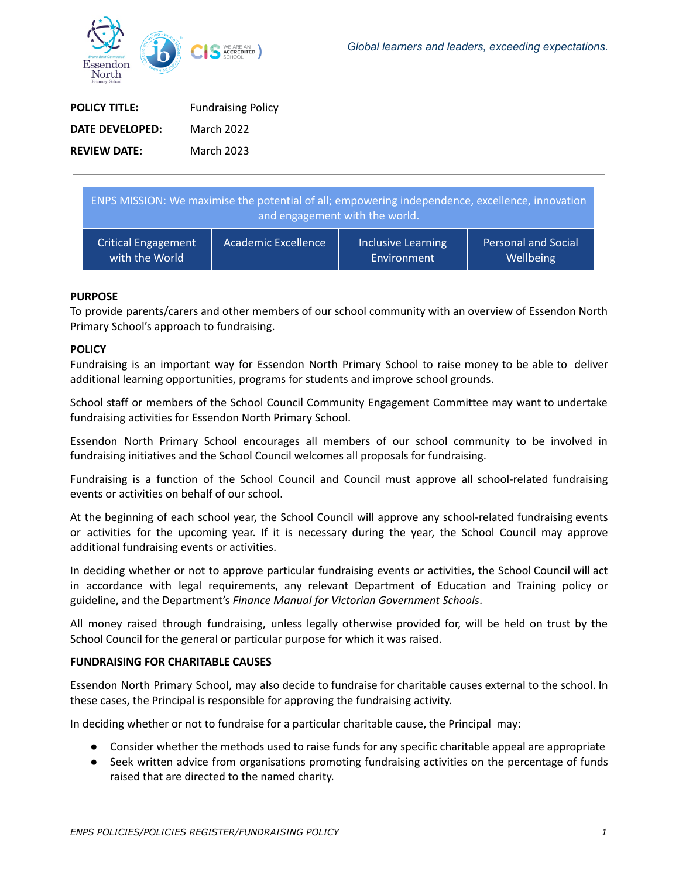

| <b>POLICY TITLE:</b> | <b>Fundraising Policy</b> |
|----------------------|---------------------------|
| DATE DEVELOPED:      | March 2022                |
| <b>REVIEW DATE:</b>  | <b>March 2023</b>         |

| ENPS MISSION: We maximise the potential of all; empowering independence, excellence, innovation<br>and engagement with the world. |                     |                    |                            |
|-----------------------------------------------------------------------------------------------------------------------------------|---------------------|--------------------|----------------------------|
| <b>Critical Engagement</b>                                                                                                        | Academic Excellence | Inclusive Learning | <b>Personal and Social</b> |
| with the World                                                                                                                    |                     | Environment        | Wellbeing                  |

# **PURPOSE**

To provide parents/carers and other members of our school community with an overview of Essendon North Primary School's approach to fundraising.

### **POLICY**

Fundraising is an important way for Essendon North Primary School to raise money to be able to deliver additional learning opportunities, programs for students and improve school grounds.

School staff or members of the School Council Community Engagement Committee may want to undertake fundraising activities for Essendon North Primary School.

Essendon North Primary School encourages all members of our school community to be involved in fundraising initiatives and the School Council welcomes all proposals for fundraising.

Fundraising is a function of the School Council and Council must approve all school-related fundraising events or activities on behalf of our school.

At the beginning of each school year, the School Council will approve any school-related fundraising events or activities for the upcoming year. If it is necessary during the year, the School Council may approve additional fundraising events or activities.

In deciding whether or not to approve particular fundraising events or activities, the School Council will act in accordance with legal requirements, any relevant Department of Education and Training policy or guideline, and the Department's *Finance Manual for Victorian Government Schools*.

All money raised through fundraising, unless legally otherwise provided for, will be held on trust by the School Council for the general or particular purpose for which it was raised.

#### **FUNDRAISING FOR CHARITABLE CAUSES**

Essendon North Primary School, may also decide to fundraise for charitable causes external to the school. In these cases, the Principal is responsible for approving the fundraising activity.

In deciding whether or not to fundraise for a particular charitable cause, the Principal may:

- Consider whether the methods used to raise funds for any specific charitable appeal are appropriate
- Seek written advice from organisations promoting fundraising activities on the percentage of funds raised that are directed to the named charity.